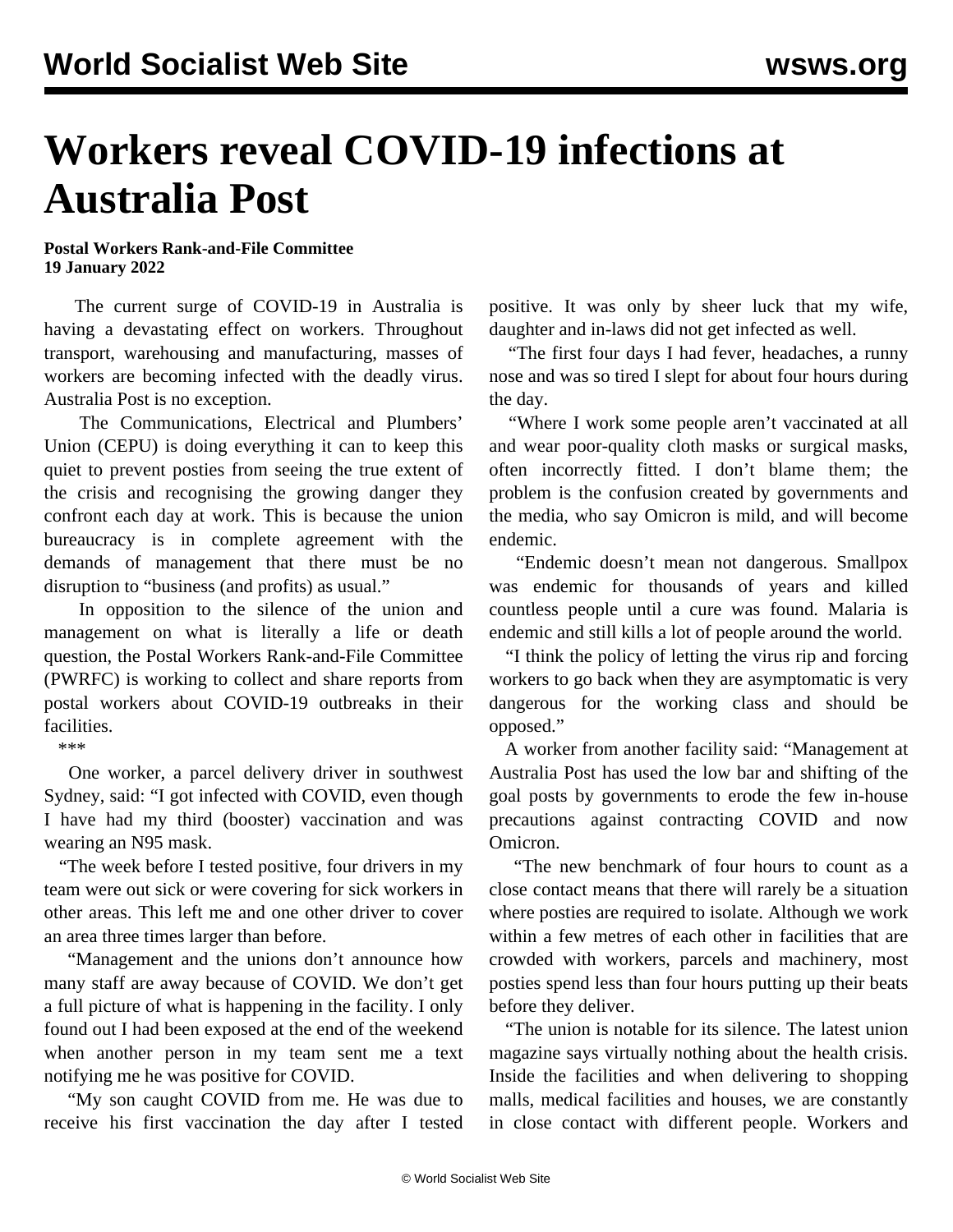## **Workers reveal COVID-19 infections at Australia Post**

## **Postal Workers Rank-and-File Committee 19 January 2022**

 The current surge of COVID-19 in Australia is having a devastating effect on workers. Throughout transport, warehousing and manufacturing, masses of workers are becoming infected with the deadly virus. Australia Post is no exception.

 The Communications, Electrical and Plumbers' Union (CEPU) is doing everything it can to keep this quiet to prevent posties from seeing the true extent of the crisis and recognising the growing danger they confront each day at work. This is because the union bureaucracy is in complete agreement with the demands of management that there must be no disruption to "business (and profits) as usual."

 In opposition to the silence of the union and management on what is literally a life or death question, the Postal Workers Rank-and-File Committee (PWRFC) is working to collect and share reports from postal workers about COVID-19 outbreaks in their facilities.

\*\*\*

 One worker, a parcel delivery driver in southwest Sydney, said: "I got infected with COVID, even though I have had my third (booster) vaccination and was wearing an N95 mask.

 "The week before I tested positive, four drivers in my team were out sick or were covering for sick workers in other areas. This left me and one other driver to cover an area three times larger than before.

 "Management and the unions don't announce how many staff are away because of COVID. We don't get a full picture of what is happening in the facility. I only found out I had been exposed at the end of the weekend when another person in my team sent me a text notifying me he was positive for COVID.

 "My son caught COVID from me. He was due to receive his first vaccination the day after I tested positive. It was only by sheer luck that my wife, daughter and in-laws did not get infected as well.

 "The first four days I had fever, headaches, a runny nose and was so tired I slept for about four hours during the day.

 "Where I work some people aren't vaccinated at all and wear poor-quality cloth masks or surgical masks, often incorrectly fitted. I don't blame them; the problem is the confusion created by governments and the media, who say Omicron is mild, and will become endemic.

 "Endemic doesn't mean not dangerous. Smallpox was endemic for thousands of years and killed countless people until a cure was found. Malaria is endemic and still kills a lot of people around the world.

 "I think the policy of letting the virus rip and forcing workers to go back when they are asymptomatic is very dangerous for the working class and should be opposed."

 A worker from another facility said: "Management at Australia Post has used the low bar and shifting of the goal posts by governments to erode the few in-house precautions against contracting COVID and now Omicron.

 "The new benchmark of four hours to count as a close contact means that there will rarely be a situation where posties are required to isolate. Although we work within a few metres of each other in facilities that are crowded with workers, parcels and machinery, most posties spend less than four hours putting up their beats before they deliver.

 "The union is notable for its silence. The latest union magazine says virtually nothing about the health crisis. Inside the facilities and when delivering to shopping malls, medical facilities and houses, we are constantly in close contact with different people. Workers and